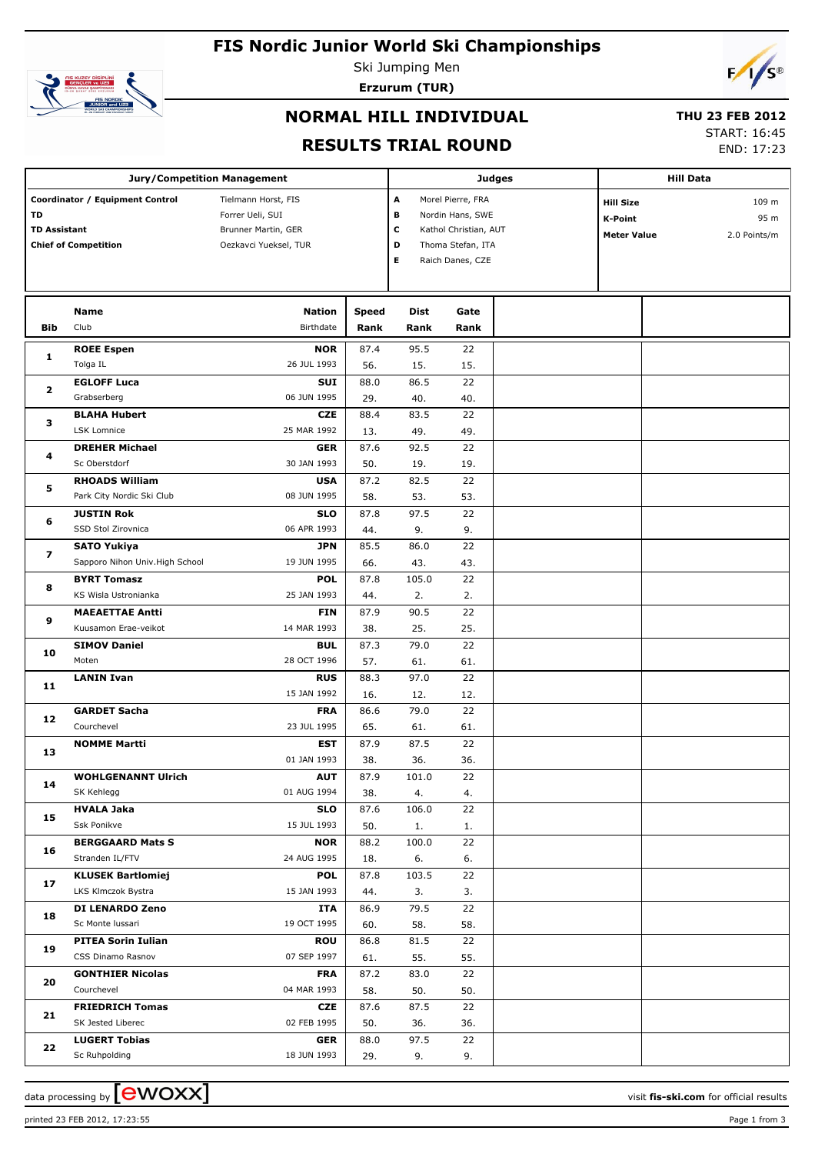# **FIS Nordic Junior World Ski Championships**



Ski Jumping Men **Erzurum (TUR)**



## **NORMAL HILL INDIVIDUAL**

#### **THU 23 FEB 2012**

### **RESULTS TRIAL ROUND**

START: 16:45

END: 17:23

|                                                                                             | <b>Jury/Competition Management</b> |                                                                                         |             |                       | <b>Judges</b>                                                                                           | <b>Hill Data</b> |                                                          |  |                               |
|---------------------------------------------------------------------------------------------|------------------------------------|-----------------------------------------------------------------------------------------|-------------|-----------------------|---------------------------------------------------------------------------------------------------------|------------------|----------------------------------------------------------|--|-------------------------------|
| Coordinator / Equipment Control<br>TD<br><b>TD Assistant</b><br><b>Chief of Competition</b> |                                    | Tielmann Horst, FIS<br>Forrer Ueli, SUI<br>Brunner Martin, GER<br>Oezkavci Yueksel, TUR |             | A<br>в<br>c<br>D<br>Е | Morel Pierre, FRA<br>Nordin Hans, SWE<br>Kathol Christian, AUT<br>Thoma Stefan, ITA<br>Raich Danes, CZE |                  | <b>Hill Size</b><br><b>K-Point</b><br><b>Meter Value</b> |  | 109 m<br>95 m<br>2.0 Points/m |
|                                                                                             | Name                               | <b>Nation</b>                                                                           | Speed       | <b>Dist</b>           | Gate                                                                                                    |                  |                                                          |  |                               |
| <b>Bib</b>                                                                                  | Club                               | Birthdate                                                                               | Rank        | Rank                  | Rank                                                                                                    |                  |                                                          |  |                               |
| 1                                                                                           | <b>ROEE Espen</b><br>Tolga IL      | <b>NOR</b><br>26 JUL 1993                                                               | 87.4<br>56. | 95.5<br>15.           | 22<br>15.                                                                                               |                  |                                                          |  |                               |
|                                                                                             | <b>EGLOFF Luca</b>                 | <b>SUI</b>                                                                              | 88.0        | 86.5                  | 22                                                                                                      |                  |                                                          |  |                               |
| 2                                                                                           | Grabserberg                        | 06 JUN 1995                                                                             | 29.         | 40.                   | 40.                                                                                                     |                  |                                                          |  |                               |
|                                                                                             | <b>BLAHA Hubert</b>                | <b>CZE</b>                                                                              | 88.4        | 83.5                  | 22                                                                                                      |                  |                                                          |  |                               |
| з                                                                                           | <b>LSK Lomnice</b>                 | 25 MAR 1992                                                                             | 13.         | 49.                   | 49.                                                                                                     |                  |                                                          |  |                               |
|                                                                                             | <b>DREHER Michael</b>              | <b>GER</b>                                                                              | 87.6        | 92.5                  | 22                                                                                                      |                  |                                                          |  |                               |
| 4                                                                                           | Sc Oberstdorf                      | 30 JAN 1993                                                                             | 50.         | 19.                   | 19.                                                                                                     |                  |                                                          |  |                               |
|                                                                                             | <b>RHOADS William</b>              | <b>USA</b>                                                                              | 87.2        | 82.5                  | 22                                                                                                      |                  |                                                          |  |                               |
| 5                                                                                           | Park City Nordic Ski Club          | 08 JUN 1995                                                                             | 58.         | 53.                   | 53.                                                                                                     |                  |                                                          |  |                               |
|                                                                                             | <b>JUSTIN Rok</b>                  | <b>SLO</b>                                                                              | 87.8        | 97.5                  | 22                                                                                                      |                  |                                                          |  |                               |
| 6                                                                                           | SSD Stol Zirovnica                 | 06 APR 1993                                                                             | 44.         | 9.                    | 9.                                                                                                      |                  |                                                          |  |                               |
|                                                                                             | <b>SATO Yukiya</b>                 | <b>JPN</b>                                                                              | 85.5        | 86.0                  | 22                                                                                                      |                  |                                                          |  |                               |
| $\overline{\mathbf{z}}$                                                                     | Sapporo Nihon Univ. High School    | 19 JUN 1995                                                                             | 66.         | 43.                   | 43.                                                                                                     |                  |                                                          |  |                               |
|                                                                                             | <b>BYRT Tomasz</b>                 | <b>POL</b>                                                                              | 87.8        | 105.0                 | 22                                                                                                      |                  |                                                          |  |                               |
| 8                                                                                           | KS Wisla Ustronianka               | 25 JAN 1993                                                                             | 44.         | 2.                    | 2.                                                                                                      |                  |                                                          |  |                               |
| 9                                                                                           | <b>MAEAETTAE Antti</b>             | <b>FIN</b>                                                                              | 87.9        | 90.5                  | 22                                                                                                      |                  |                                                          |  |                               |
|                                                                                             | Kuusamon Erae-veikot               | 14 MAR 1993                                                                             | 38.         | 25.                   | 25.                                                                                                     |                  |                                                          |  |                               |
| 10                                                                                          | <b>SIMOV Daniel</b>                | <b>BUL</b>                                                                              | 87.3        | 79.0                  | 22                                                                                                      |                  |                                                          |  |                               |
|                                                                                             | Moten                              | 28 OCT 1996                                                                             | 57.         | 61.                   | 61.                                                                                                     |                  |                                                          |  |                               |
|                                                                                             | <b>LANIN Ivan</b>                  | <b>RUS</b>                                                                              | 88.3        | 97.0                  | 22                                                                                                      |                  |                                                          |  |                               |
| 11                                                                                          |                                    | 15 JAN 1992                                                                             | 16.         | 12.                   | 12.                                                                                                     |                  |                                                          |  |                               |
|                                                                                             | <b>GARDET Sacha</b>                | <b>FRA</b>                                                                              | 86.6        | 79.0                  | 22                                                                                                      |                  |                                                          |  |                               |
| 12                                                                                          | Courchevel                         | 23 JUL 1995                                                                             | 65.         | 61.                   | 61.                                                                                                     |                  |                                                          |  |                               |
|                                                                                             | <b>NOMME Martti</b>                | <b>EST</b>                                                                              | 87.9        | 87.5                  | 22                                                                                                      |                  |                                                          |  |                               |
| 13                                                                                          |                                    | 01 JAN 1993                                                                             | 38.         | 36.                   | 36.                                                                                                     |                  |                                                          |  |                               |
|                                                                                             | <b>WOHLGENANNT Ulrich</b>          | <b>AUT</b>                                                                              | 87.9        | 101.0                 | $\overline{22}$                                                                                         |                  |                                                          |  |                               |
| 14                                                                                          | SK Kehlegg                         | 01 AUG 1994                                                                             | 38.         | 4.                    | 4.                                                                                                      |                  |                                                          |  |                               |
|                                                                                             | <b>HVALA Jaka</b>                  | <b>SLO</b>                                                                              | 87.6        | 106.0                 | 22                                                                                                      |                  |                                                          |  |                               |
| 15                                                                                          | Ssk Ponikve                        | 15 JUL 1993                                                                             | 50.         | 1.                    | 1.                                                                                                      |                  |                                                          |  |                               |
|                                                                                             | <b>BERGGAARD Mats S</b>            | <b>NOR</b>                                                                              | 88.2        | 100.0                 | 22                                                                                                      |                  |                                                          |  |                               |
| 16                                                                                          | Stranden IL/FTV                    | 24 AUG 1995                                                                             | 18.         | 6.                    | 6.                                                                                                      |                  |                                                          |  |                               |
|                                                                                             | <b>KLUSEK Bartlomiej</b>           | <b>POL</b>                                                                              | 87.8        | 103.5                 | 22                                                                                                      |                  |                                                          |  |                               |
| 17                                                                                          | LKS Klmczok Bystra                 | 15 JAN 1993                                                                             | 44.         | 3.                    | 3.                                                                                                      |                  |                                                          |  |                               |
|                                                                                             | DI LENARDO Zeno                    | ITA                                                                                     | 86.9        | 79.5                  | 22                                                                                                      |                  |                                                          |  |                               |
| 18                                                                                          | Sc Monte Iussari                   | 19 OCT 1995                                                                             | 60.         | 58.                   | 58.                                                                                                     |                  |                                                          |  |                               |
|                                                                                             | <b>PITEA Sorin Iulian</b>          | <b>ROU</b>                                                                              | 86.8        | 81.5                  | 22                                                                                                      |                  |                                                          |  |                               |
| 19                                                                                          | CSS Dinamo Rasnov                  | 07 SEP 1997                                                                             | 61.         | 55.                   | 55.                                                                                                     |                  |                                                          |  |                               |
|                                                                                             | <b>GONTHIER Nicolas</b>            | <b>FRA</b>                                                                              | 87.2        | 83.0                  | 22                                                                                                      |                  |                                                          |  |                               |
| 20                                                                                          | Courchevel                         | 04 MAR 1993                                                                             | 58.         | 50.                   | 50.                                                                                                     |                  |                                                          |  |                               |
|                                                                                             | <b>FRIEDRICH Tomas</b>             | CZE                                                                                     | 87.6        | 87.5                  | 22                                                                                                      |                  |                                                          |  |                               |
| 21                                                                                          | SK Jested Liberec                  | 02 FEB 1995                                                                             | 50.         | 36.                   | 36.                                                                                                     |                  |                                                          |  |                               |
|                                                                                             | <b>LUGERT Tobias</b>               | <b>GER</b>                                                                              | 88.0        | 97.5                  | 22                                                                                                      |                  |                                                          |  |                               |
| 22                                                                                          | Sc Ruhpolding                      | 18 JUN 1993                                                                             | 29.         | 9.                    | 9.                                                                                                      |                  |                                                          |  |                               |

printed 23 FEB 2012, 17:23:55 Page 1 from 3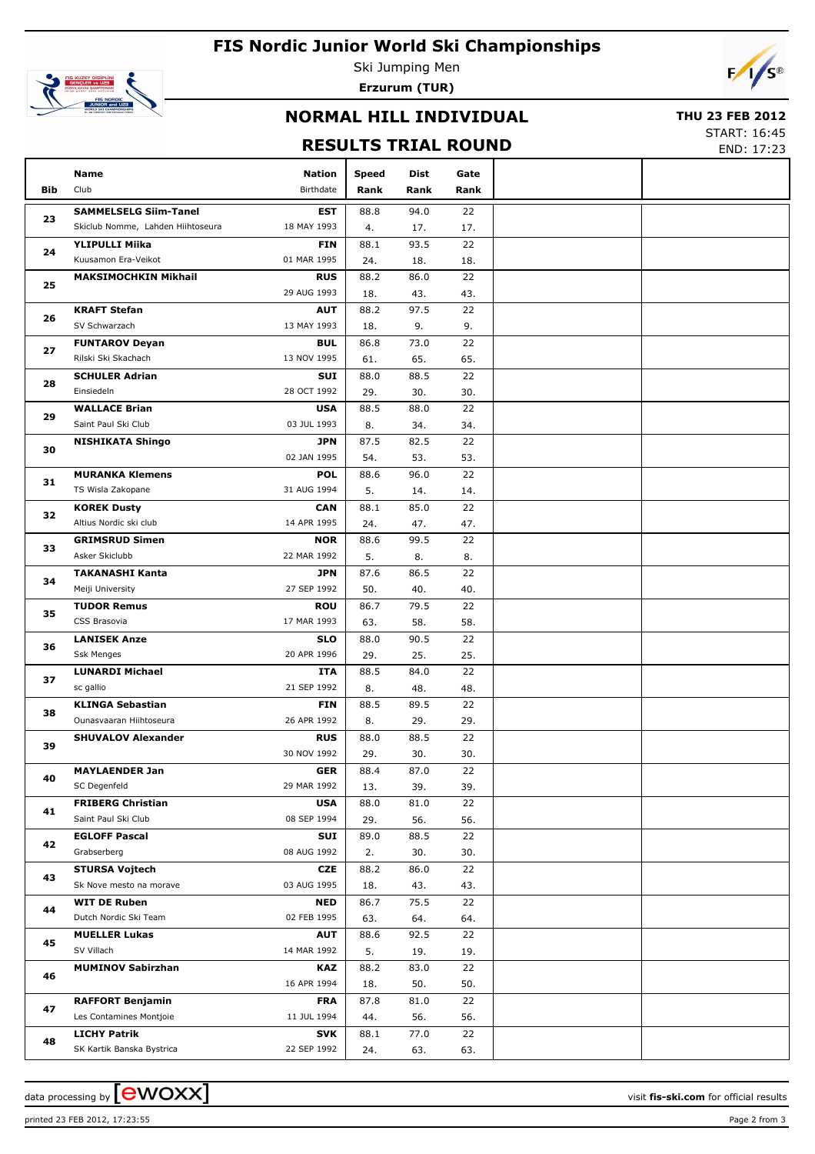# **FIS Nordic Junior World Ski Championships**



Ski Jumping Men **Erzurum (TUR)**



## **NORMAL HILL INDIVIDUAL**

#### **THU 23 FEB 2012**

### **RESULTS TRIAL ROUND**

START: 16:45 END: 17:23

|     | Name                                            | Nation                    | <b>Speed</b> | Dist        | Gate      |  |
|-----|-------------------------------------------------|---------------------------|--------------|-------------|-----------|--|
| Bib | Club                                            | Birthdate                 | Rank         | Rank        | Rank      |  |
|     | <b>SAMMELSELG Siim-Tanel</b>                    | <b>EST</b>                | 88.8         | 94.0        | 22        |  |
| 23  | Skiclub Nomme, Lahden Hiihtoseura               | 18 MAY 1993               | 4.           | 17.         | 17.       |  |
|     | <b>YLIPULLI Miika</b>                           | <b>FIN</b>                | 88.1         | 93.5        | 22        |  |
| 24  | Kuusamon Era-Veikot                             | 01 MAR 1995               | 24.          | 18.         | 18.       |  |
|     | <b>MAKSIMOCHKIN Mikhail</b>                     | <b>RUS</b>                | 88.2         | 86.0        | 22        |  |
| 25  |                                                 | 29 AUG 1993               | 18.          | 43.         | 43.       |  |
| 26  | <b>KRAFT Stefan</b>                             | <b>AUT</b>                | 88.2         | 97.5        | 22        |  |
|     | SV Schwarzach                                   | 13 MAY 1993               | 18.          | 9.          | 9.        |  |
| 27  | <b>FUNTAROV Deyan</b>                           | <b>BUL</b>                | 86.8         | 73.0        | 22        |  |
|     | Rilski Ski Skachach                             | 13 NOV 1995               | 61.          | 65.         | 65.       |  |
| 28  | <b>SCHULER Adrian</b>                           | SUI                       | 88.0         | 88.5        | 22        |  |
|     | Einsiedeln                                      | 28 OCT 1992               | 29.          | 30.         | 30.       |  |
| 29  | <b>WALLACE Brian</b>                            | <b>USA</b>                | 88.5         | 88.0        | 22        |  |
|     | Saint Paul Ski Club                             | 03 JUL 1993               | 8.           | 34.         | 34.       |  |
| 30  | <b>NISHIKATA Shingo</b>                         | <b>JPN</b>                | 87.5         | 82.5        | 22        |  |
|     |                                                 | 02 JAN 1995               | 54.          | 53.         | 53.       |  |
| 31  | <b>MURANKA Klemens</b><br>TS Wisla Zakopane     | <b>POL</b><br>31 AUG 1994 | 88.6<br>5.   | 96.0<br>14. | 22<br>14. |  |
|     | <b>KOREK Dusty</b>                              | <b>CAN</b>                | 88.1         | 85.0        | 22        |  |
| 32  | Altius Nordic ski club                          | 14 APR 1995               | 24.          | 47.         | 47.       |  |
|     | <b>GRIMSRUD Simen</b>                           | <b>NOR</b>                | 88.6         | 99.5        | 22        |  |
| 33  | Asker Skiclubb                                  | 22 MAR 1992               | 5.           | 8.          | 8.        |  |
|     | <b>TAKANASHI Kanta</b>                          | <b>JPN</b>                | 87.6         | 86.5        | 22        |  |
| 34  | Meiji University                                | 27 SEP 1992               | 50.          | 40.         | 40.       |  |
|     | <b>TUDOR Remus</b>                              | <b>ROU</b>                | 86.7         | 79.5        | 22        |  |
| 35  | CSS Brasovia                                    | 17 MAR 1993               | 63.          | 58.         | 58.       |  |
|     | <b>LANISEK Anze</b>                             | <b>SLO</b>                | 88.0         | 90.5        | 22        |  |
| 36  | Ssk Menges                                      | 20 APR 1996               | 29.          | 25.         | 25.       |  |
| 37  | <b>LUNARDI Michael</b>                          | ITA                       | 88.5         | 84.0        | 22        |  |
|     | sc gallio                                       | 21 SEP 1992               | 8.           | 48.         | 48.       |  |
| 38  | <b>KLINGA Sebastian</b>                         | <b>FIN</b>                | 88.5         | 89.5        | 22        |  |
|     | Ounasvaaran Hiihtoseura                         | 26 APR 1992               | 8.           | 29.         | 29.       |  |
| 39  | <b>SHUVALOV Alexander</b>                       | <b>RUS</b>                | 88.0         | 88.5        | 22        |  |
|     |                                                 | 30 NOV 1992               | 29.          | 30.         | 30.       |  |
| 40  | <b>MAYLAENDER Jan</b>                           | <b>GER</b>                | 88.4         | 87.0        | 22        |  |
|     | SC Degenfeld                                    | 29 MAR 1992               | 13.          | 39.         | 39.       |  |
| 41  | <b>FRIBERG Christian</b><br>Saint Paul Ski Club | <b>USA</b><br>08 SEP 1994 | 88.0<br>29.  | 81.0<br>56. | 22<br>56. |  |
|     | <b>EGLOFF Pascal</b>                            | SUI                       | 89.0         | 88.5        | 22        |  |
| 42  | Grabserberg                                     | 08 AUG 1992               | 2.           | 30.         | 30.       |  |
|     | <b>STURSA Vojtech</b>                           | CZE                       | 88.2         | 86.0        | 22        |  |
| 43  | Sk Nove mesto na morave                         | 03 AUG 1995               | 18.          | 43.         | 43.       |  |
|     | <b>WIT DE Ruben</b>                             | <b>NED</b>                | 86.7         | 75.5        | 22        |  |
| 44  | Dutch Nordic Ski Team                           | 02 FEB 1995               | 63.          | 64.         | 64.       |  |
|     | <b>MUELLER Lukas</b>                            | <b>AUT</b>                | 88.6         | 92.5        | 22        |  |
| 45  | SV Villach                                      | 14 MAR 1992               | 5.           | 19.         | 19.       |  |
|     | <b>MUMINOV Sabirzhan</b>                        | KAZ                       | 88.2         | 83.0        | 22        |  |
| 46  |                                                 | 16 APR 1994               | 18.          | 50.         | 50.       |  |
| 47  | <b>RAFFORT Benjamin</b>                         | <b>FRA</b>                | 87.8         | 81.0        | 22        |  |
|     | Les Contamines Montjoie                         | 11 JUL 1994               | 44.          | 56.         | 56.       |  |
| 48  | <b>LICHY Patrik</b>                             | <b>SVK</b>                | 88.1         | 77.0        | 22        |  |
|     | SK Kartik Banska Bystrica                       | 22 SEP 1992               | 24.          | 63.         | 63.       |  |